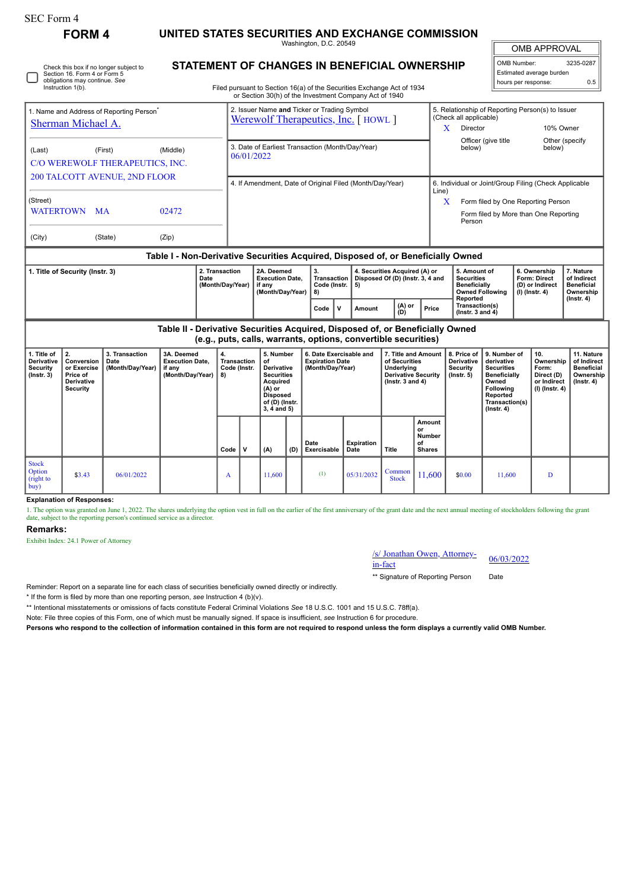| SEC Form 4                                                                                                                                                                                                                                                                | <b>FORM 4</b> |         |                                    |                                                                                                                                           |                                                                                                                                                                                     | UNITED STATES SECURITIES AND EXCHANGE COMMISSION                                                                                                |                                         |              |                                                                                               |                                                                         |                                                                                                                                          |                                                                                                                                                                                  |                                                                                            |                                                                                 |                                                                                |  |  |  |
|---------------------------------------------------------------------------------------------------------------------------------------------------------------------------------------------------------------------------------------------------------------------------|---------------|---------|------------------------------------|-------------------------------------------------------------------------------------------------------------------------------------------|-------------------------------------------------------------------------------------------------------------------------------------------------------------------------------------|-------------------------------------------------------------------------------------------------------------------------------------------------|-----------------------------------------|--------------|-----------------------------------------------------------------------------------------------|-------------------------------------------------------------------------|------------------------------------------------------------------------------------------------------------------------------------------|----------------------------------------------------------------------------------------------------------------------------------------------------------------------------------|--------------------------------------------------------------------------------------------|---------------------------------------------------------------------------------|--------------------------------------------------------------------------------|--|--|--|
|                                                                                                                                                                                                                                                                           |               |         |                                    |                                                                                                                                           |                                                                                                                                                                                     |                                                                                                                                                 | Washington, D.C. 20549                  |              |                                                                                               |                                                                         |                                                                                                                                          | <b>OMB APPROVAL</b>                                                                                                                                                              |                                                                                            |                                                                                 |                                                                                |  |  |  |
| <b>STATEMENT OF CHANGES IN BENEFICIAL OWNERSHIP</b><br>Check this box if no longer subject to<br>Section 16. Form 4 or Form 5<br>obligations may continue. See<br>Instruction 1(b).                                                                                       |               |         |                                    |                                                                                                                                           |                                                                                                                                                                                     | Filed pursuant to Section 16(a) of the Securities Exchange Act of 1934<br>or Section 30(h) of the Investment Company Act of 1940                |                                         |              |                                                                                               |                                                                         |                                                                                                                                          | OMB Number:<br>hours per response:                                                                                                                                               | Estimated average burden                                                                   | 3235-0287<br>0.5                                                                |                                                                                |  |  |  |
| 1. Name and Address of Reporting Person <sup>7</sup><br>Sherman Michael A.<br>(Middle)<br>(Last)<br>(First)                                                                                                                                                               |               |         |                                    |                                                                                                                                           | 2. Issuer Name and Ticker or Trading Symbol<br>Werewolf Therapeutics, Inc. [HOWL]<br>3. Date of Earliest Transaction (Month/Day/Year)<br>06/01/2022                                 |                                                                                                                                                 |                                         |              |                                                                                               |                                                                         |                                                                                                                                          | 5. Relationship of Reporting Person(s) to Issuer<br>(Check all applicable)<br>10% Owner<br>$\mathbf{X}$<br>Director<br>Officer (give title<br>Other (specify<br>below)<br>below) |                                                                                            |                                                                                 |                                                                                |  |  |  |
| C/O WEREWOLF THERAPEUTICS, INC.<br>200 TALCOTT AVENUE, 2ND FLOOR                                                                                                                                                                                                          |               |         |                                    |                                                                                                                                           |                                                                                                                                                                                     | 4. If Amendment, Date of Original Filed (Month/Day/Year)                                                                                        |                                         |              |                                                                                               |                                                                         |                                                                                                                                          |                                                                                                                                                                                  | 6. Individual or Joint/Group Filing (Check Applicable<br>Line)                             |                                                                                 |                                                                                |  |  |  |
| (Street)<br><b>WATERTOWN</b><br>02472<br><b>MA</b>                                                                                                                                                                                                                        |               |         |                                    |                                                                                                                                           |                                                                                                                                                                                     |                                                                                                                                                 |                                         |              |                                                                                               |                                                                         |                                                                                                                                          |                                                                                                                                                                                  | X<br>Form filed by One Reporting Person<br>Form filed by More than One Reporting<br>Person |                                                                                 |                                                                                |  |  |  |
| (City)                                                                                                                                                                                                                                                                    |               | (State) | (Zip)                              |                                                                                                                                           |                                                                                                                                                                                     |                                                                                                                                                 |                                         |              |                                                                                               |                                                                         |                                                                                                                                          |                                                                                                                                                                                  |                                                                                            |                                                                                 |                                                                                |  |  |  |
|                                                                                                                                                                                                                                                                           |               |         |                                    |                                                                                                                                           |                                                                                                                                                                                     | Table I - Non-Derivative Securities Acquired, Disposed of, or Beneficially Owned                                                                |                                         |              |                                                                                               |                                                                         |                                                                                                                                          |                                                                                                                                                                                  |                                                                                            |                                                                                 |                                                                                |  |  |  |
| 2. Transaction<br>1. Title of Security (Instr. 3)<br>Date                                                                                                                                                                                                                 |               |         |                                    | (Month/Day/Year)                                                                                                                          | 2A. Deemed<br><b>Execution Date.</b><br>if any<br>(Month/Day/Year)                                                                                                                  | 3.<br>8)<br>Code                                                                                                                                | <b>Transaction</b><br>Code (Instr.<br>v | 5)<br>Amount | 4. Securities Acquired (A) or<br>Disposed Of (D) (Instr. 3, 4 and<br>$(A)$ or<br>Price<br>(D) |                                                                         | 5. Amount of<br><b>Securities</b><br><b>Beneficially</b><br><b>Owned Following</b><br>Reported<br>Transaction(s)<br>( $lnstr. 3 and 4$ ) |                                                                                                                                                                                  |                                                                                            | 6. Ownership<br>Form: Direct<br>(D) or Indirect<br>$(I)$ (Instr. 4)             | 7. Nature<br>of Indirect<br><b>Beneficial</b><br>Ownership<br>$($ Instr. 4 $)$ |  |  |  |
|                                                                                                                                                                                                                                                                           |               |         |                                    |                                                                                                                                           |                                                                                                                                                                                     | Table II - Derivative Securities Acquired, Disposed of, or Beneficially Owned<br>(e.g., puts, calls, warrants, options, convertible securities) |                                         |              |                                                                                               |                                                                         |                                                                                                                                          |                                                                                                                                                                                  |                                                                                            |                                                                                 |                                                                                |  |  |  |
| 1. Title of<br>2.<br>3. Transaction<br>3A. Deemed<br>4.<br>Derivative<br>Conversion<br><b>Execution Date,</b><br>Date<br>or Exercise<br>(Month/Day/Year)<br>Security<br>if any<br>(Month/Day/Year)<br>$($ Instr. 3 $)$<br>Price of<br>8)<br>Derivative<br><b>Security</b> |               |         | <b>Transaction</b><br>Code (Instr. | 5. Number<br>of<br><b>Derivative</b><br><b>Securities</b><br>Acquired<br>$(A)$ or<br><b>Disposed</b><br>of (D) (Instr.<br>$3, 4$ and $5)$ | 6. Date Exercisable and<br>7. Title and Amount<br><b>Expiration Date</b><br>of Securities<br>(Month/Day/Year)<br>Underlying<br><b>Derivative Security</b><br>$($ lnstr. 3 and 4 $)$ |                                                                                                                                                 |                                         |              |                                                                                               | 8. Price of<br><b>Derivative</b><br><b>Security</b><br>$($ lnstr. 5 $)$ | 9. Number of<br>derivative<br><b>Securities</b><br>Beneficially<br>Owned<br>Following<br>Reported<br>Transaction(s)<br>(Instr. 4)        |                                                                                                                                                                                  | 10.<br>Ownership<br>Form:<br>Direct (D)<br>or Indirect<br>(I) (Instr. 4)                   | 11. Nature<br>of Indirect<br><b>Beneficial</b><br>Ownership<br>$($ Instr. 4 $)$ |                                                                                |  |  |  |

|                                             |        |            | Code | $\mathbf{v}$ | (A)    | , (D) | Date<br>Exercisable | Expiration<br>Date                                                      | Title        | Amount<br>or<br>Number<br>оf<br><b>Shares</b> |        |        |   |
|---------------------------------------------|--------|------------|------|--------------|--------|-------|---------------------|-------------------------------------------------------------------------|--------------|-----------------------------------------------|--------|--------|---|
| <b>Stock</b><br>Option<br>(right to<br>buy) | \$3.43 | 06/01/2022 | A    |              | 11,600 |       | (1)                 | $\left[ \frac{05}{31/2032} \right]$ Common $\left[ \frac{1}{1} \right]$ | <b>Stock</b> | 11,600                                        | \$0.00 | 11,600 | D |

**Explanation of Responses:**

1. The option was granted on June 1, 2022. The shares underlying the option vest in full on the earlier of the first anniversary of the grant date and the next annual meeting of stockholders following the grant date, subject to the reporting person's continued service as a director.

## **Remarks:**

Exhibit Index: 24.1 Power of Attorney

## /s/ Jonathan Owen, Attorney-<br>in-fact

\*\* Signature of Reporting Person Date

Reminder: Report on a separate line for each class of securities beneficially owned directly or indirectly.

\* If the form is filed by more than one reporting person, *see* Instruction 4 (b)(v).

\*\* Intentional misstatements or omissions of facts constitute Federal Criminal Violations *See* 18 U.S.C. 1001 and 15 U.S.C. 78ff(a).

Note: File three copies of this Form, one of which must be manually signed. If space is insufficient, *see* Instruction 6 for procedure.

**Persons who respond to the collection of information contained in this form are not required to respond unless the form displays a currently valid OMB Number.**